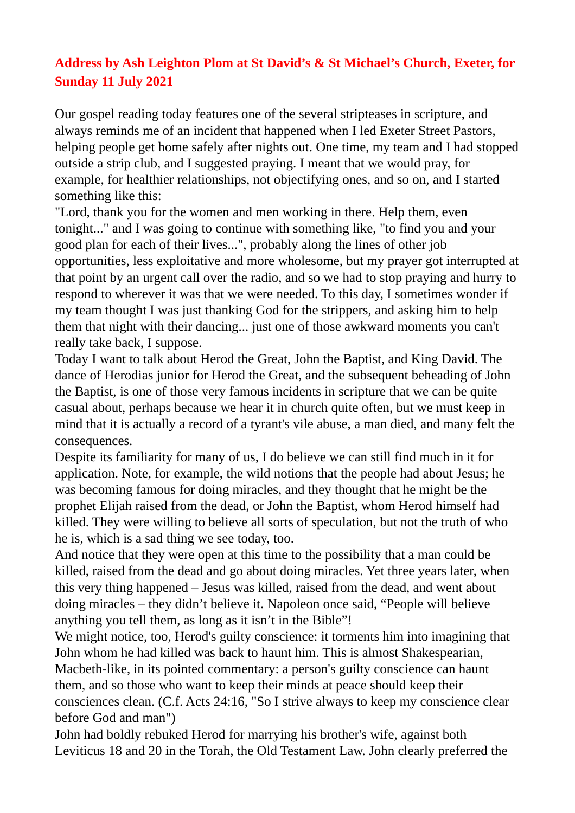## **Address by Ash Leighton Plom at St David's & St Michael's Church, Exeter, for Sunday 11 July 2021**

Our gospel reading today features one of the several stripteases in scripture, and always reminds me of an incident that happened when I led Exeter Street Pastors, helping people get home safely after nights out. One time, my team and I had stopped outside a strip club, and I suggested praying. I meant that we would pray, for example, for healthier relationships, not objectifying ones, and so on, and I started something like this:

"Lord, thank you for the women and men working in there. Help them, even tonight..." and I was going to continue with something like, "to find you and your good plan for each of their lives...", probably along the lines of other job opportunities, less exploitative and more wholesome, but my prayer got interrupted at that point by an urgent call over the radio, and so we had to stop praying and hurry to respond to wherever it was that we were needed. To this day, I sometimes wonder if my team thought I was just thanking God for the strippers, and asking him to help them that night with their dancing... just one of those awkward moments you can't really take back, I suppose.

Today I want to talk about Herod the Great, John the Baptist, and King David. The dance of Herodias junior for Herod the Great, and the subsequent beheading of John the Baptist, is one of those very famous incidents in scripture that we can be quite casual about, perhaps because we hear it in church quite often, but we must keep in mind that it is actually a record of a tyrant's vile abuse, a man died, and many felt the consequences.

Despite its familiarity for many of us, I do believe we can still find much in it for application. Note, for example, the wild notions that the people had about Jesus; he was becoming famous for doing miracles, and they thought that he might be the prophet Elijah raised from the dead, or John the Baptist, whom Herod himself had killed. They were willing to believe all sorts of speculation, but not the truth of who he is, which is a sad thing we see today, too.

And notice that they were open at this time to the possibility that a man could be killed, raised from the dead and go about doing miracles. Yet three years later, when this very thing happened – Jesus was killed, raised from the dead, and went about doing miracles – they didn't believe it. Napoleon once said, "People will believe anything you tell them, as long as it isn't in the Bible"!

We might notice, too, Herod's guilty conscience: it torments him into imagining that John whom he had killed was back to haunt him. This is almost Shakespearian, Macbeth-like, in its pointed commentary: a person's guilty conscience can haunt them, and so those who want to keep their minds at peace should keep their consciences clean. (C.f. Acts 24:16, "So I strive always to keep my conscience clear before God and man")

John had boldly rebuked Herod for marrying his brother's wife, against both Leviticus 18 and 20 in the Torah, the Old Testament Law. John clearly preferred the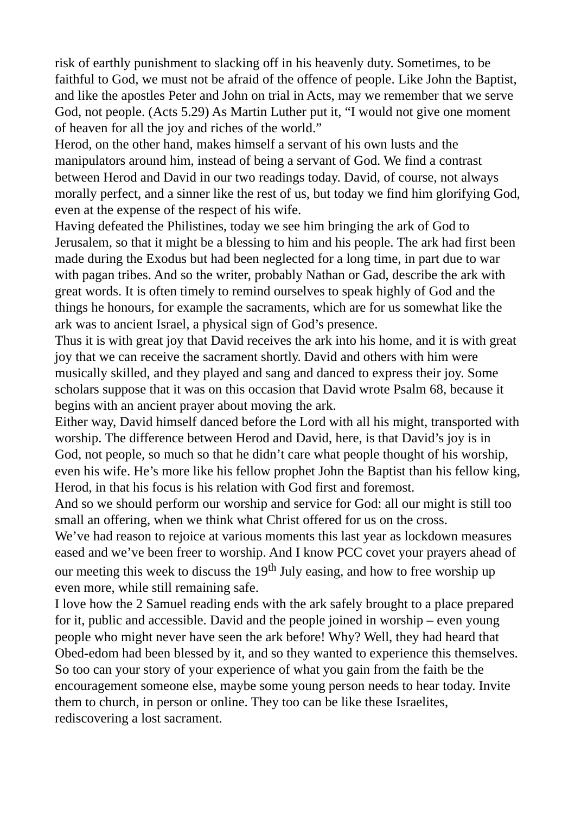risk of earthly punishment to slacking off in his heavenly duty. Sometimes, to be faithful to God, we must not be afraid of the offence of people. Like John the Baptist, and like the apostles Peter and John on trial in Acts, may we remember that we serve God, not people. (Acts 5.29) As Martin Luther put it, "I would not give one moment of heaven for all the joy and riches of the world."

Herod, on the other hand, makes himself a servant of his own lusts and the manipulators around him, instead of being a servant of God. We find a contrast between Herod and David in our two readings today. David, of course, not always morally perfect, and a sinner like the rest of us, but today we find him glorifying God, even at the expense of the respect of his wife.

Having defeated the Philistines, today we see him bringing the ark of God to Jerusalem, so that it might be a blessing to him and his people. The ark had first been made during the Exodus but had been neglected for a long time, in part due to war with pagan tribes. And so the writer, probably Nathan or Gad, describe the ark with great words. It is often timely to remind ourselves to speak highly of God and the things he honours, for example the sacraments, which are for us somewhat like the ark was to ancient Israel, a physical sign of God's presence.

Thus it is with great joy that David receives the ark into his home, and it is with great joy that we can receive the sacrament shortly. David and others with him were musically skilled, and they played and sang and danced to express their joy. Some scholars suppose that it was on this occasion that David wrote Psalm 68, because it begins with an ancient prayer about moving the ark.

Either way, David himself danced before the Lord with all his might, transported with worship. The difference between Herod and David, here, is that David's joy is in God, not people, so much so that he didn't care what people thought of his worship, even his wife. He's more like his fellow prophet John the Baptist than his fellow king, Herod, in that his focus is his relation with God first and foremost.

And so we should perform our worship and service for God: all our might is still too small an offering, when we think what Christ offered for us on the cross.

We've had reason to rejoice at various moments this last year as lockdown measures eased and we've been freer to worship. And I know PCC covet your prayers ahead of our meeting this week to discuss the  $19<sup>th</sup>$  July easing, and how to free worship up even more, while still remaining safe.

I love how the 2 Samuel reading ends with the ark safely brought to a place prepared for it, public and accessible. David and the people joined in worship – even young people who might never have seen the ark before! Why? Well, they had heard that Obed-edom had been blessed by it, and so they wanted to experience this themselves. So too can your story of your experience of what you gain from the faith be the encouragement someone else, maybe some young person needs to hear today. Invite them to church, in person or online. They too can be like these Israelites, rediscovering a lost sacrament.